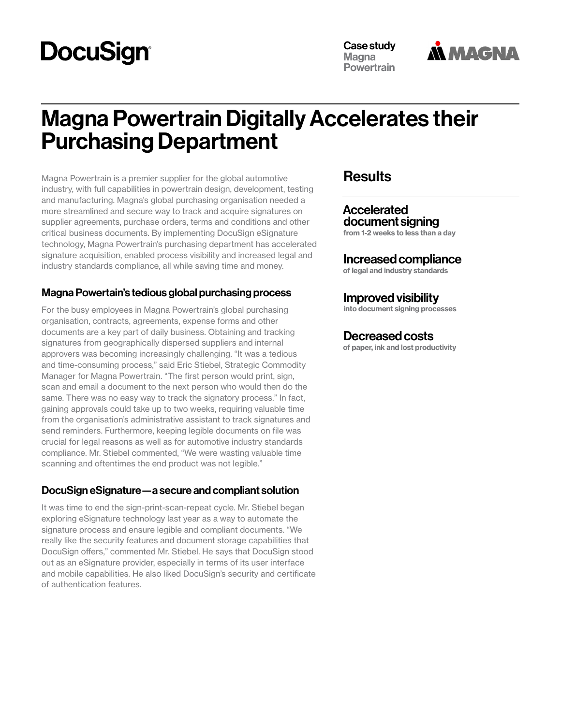# **DocuSign**

Case study **Magna Powertrain** 



# Magna Powertrain Digitally Accelerates their Purchasing Department

Magna Powertrain is a premier supplier for the global automotive industry, with full capabilities in powertrain design, development, testing and manufacturing. Magna's global purchasing organisation needed a more streamlined and secure way to track and acquire signatures on supplier agreements, purchase orders, terms and conditions and other critical business documents. By implementing DocuSign eSignature technology, Magna Powertrain's purchasing department has accelerated signature acquisition, enabled process visibility and increased legal and industry standards compliance, all while saving time and money.

#### Magna Powertain's tedious global purchasing process

For the busy employees in Magna Powertrain's global purchasing organisation, contracts, agreements, expense forms and other documents are a key part of daily business. Obtaining and tracking signatures from geographically dispersed suppliers and internal approvers was becoming increasingly challenging. "It was a tedious and time-consuming process," said Eric Stiebel, Strategic Commodity Manager for Magna Powertrain. "The first person would print, sign, scan and email a document to the next person who would then do the same. There was no easy way to track the signatory process." In fact, gaining approvals could take up to two weeks, requiring valuable time from the organisation's administrative assistant to track signatures and send reminders. Furthermore, keeping legible documents on file was crucial for legal reasons as well as for automotive industry standards compliance. Mr. Stiebel commented, "We were wasting valuable time scanning and oftentimes the end product was not legible."

#### DocuSign eSignature—a secure and compliant solution

It was time to end the sign-print-scan-repeat cycle. Mr. Stiebel began exploring eSignature technology last year as a way to automate the signature process and ensure legible and compliant documents. "We really like the security features and document storage capabilities that DocuSign offers," commented Mr. Stiebel. He says that DocuSign stood out as an eSignature provider, especially in terms of its user interface and mobile capabilities. He also liked DocuSign's security and certificate of authentication features.

## **Results**

#### Accelerated document signing

from 1-2 weeks to less than a day

#### Increased compliance

of legal and industry standards

### Improved visibility

into document signing processes

#### Decreased costs

of paper, ink and lost productivity